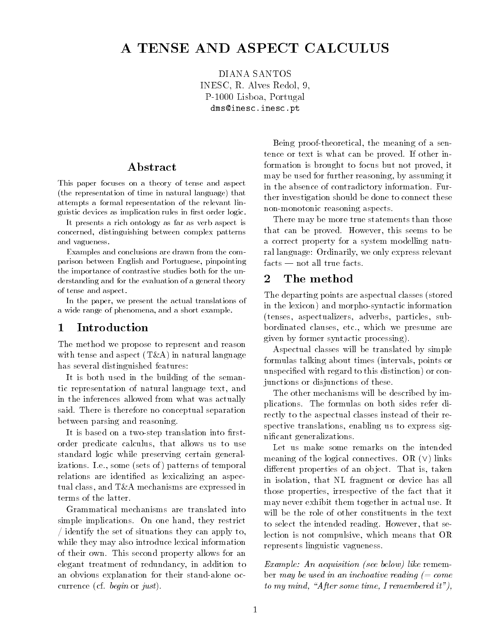# A TENSE AND ASPECT CALCULUS

DIANA SANTOS INESC- R Alves Redol- -P Lisboa-Lisboa-Lisboa-Lisboa-Lisboa-Lisboa-Lisboa-Lisboa-Lisboa-Lisboa-Lisboa-Lisboa-Lisboa-Lisboa-Lisboa-Lis dms-inescinescpt

## ${\bf Abstract}$

This paper focuses on a theory of tense and aspect  $t \sim$  the representation of time in  $\sigma$ attempts a formal representation of the relevant lin guistic devices as implication rules in first order logic.

It presents a rich ontology as far as verb aspect is concerned, distinguishing between complex patterns and vagueness

Examples and conclusions are drawn from the com parison between English and Portuguese, pinpointing the importance of contrastive studies both for the un derstanding and for the evaluation of a general theory of tense and aspect

In the paper, we present the actual translations of a wide range of phenomena and a short example

#### $\mathbf{1}$ Introduction

The method we propose to represent and reason  $\ldots$  in terms as a in part of  $\alpha$  in terms as a in natural language of  $\alpha$ has several distinguished features:

It is both used in the building of the seman tic representation of natural language text, and in the inferences allowed from what was actually said. There is therefore no conceptual separation between parsing and reasoning

It is based on a two-step translation into firstorder predicate calculus, that allows us to use standard logic while preserving certain general izations Ie some - sets of temporal patterns of temporal patterns of temporal patterns of temporal patterns of relations are identified as lexicalizing an aspectual class, and  $T\&A$  mechanisms are expressed in terms of the latter.

Grammatical mechanisms are translated into simple implications. On one hand, they restrict identify the set of situations they can apply to while they may also introduce lexical information of their own This second property allows for an elegant treatment of redundancy in addition to an obvious explanation for their stand-alone occorrection of the correction of the correction of the correction of the correction of the correction of the correction of the correction of the correction of the correction of the correction of the correction of the correc

Being proof-theoretical, the meaning of a sentence or text is what can be proved. If other information is brought to focus but not proved, it may be used for further reasoning, by assuming it in the absence of contradictory information. Further investigation should be done to connect these non-monotonic reasoning aspects.

There may be more true statements than those that can be proved. However, this seems to be a correct property for a system modelling natu ral language: Ordinarily, we only express relevant  $\mathrm{facts} \longrightarrow \mathrm{not} \ \mathrm{all} \ \mathrm{true} \ \mathrm{facts}.$ 

#### $\overline{2}$ The method

The department of the department of the department of the department of the department of the department of the in the lexicon) and morpho-syntactic information -tenses aspectualizers adverbs particles sub bordinated clauses, etc., which we presume are given by former syntactic processing

Aspectual classes will be translated by simple formulas talking about times -intervals points or unspecified with regard to this distinction) or conjunctions or disjunctions of these

The other mechanisms will be described by im plications. The formulas on both sides refer directly to the aspectual classes instead of their re spective translations, enabling us to express significant generalizations.

Let us make some remarks on the intended meaning of the logical connectives OR - links different properties of an object. That is, taken in isolation, that NL fragment or device has all those properties, irrespective of the fact that it may never exhibit them together in actual use It will be the role of other constituents in the text to select the intended reading. However, that selection is not compulsive, which means that OR represents linguistic vagueness

example- externed the property of the remember of the remember of the set of the seeds of the set of the set o ber may be used in an inchoative reading  $(= come$ to my mind, "After some time, I remembered it"),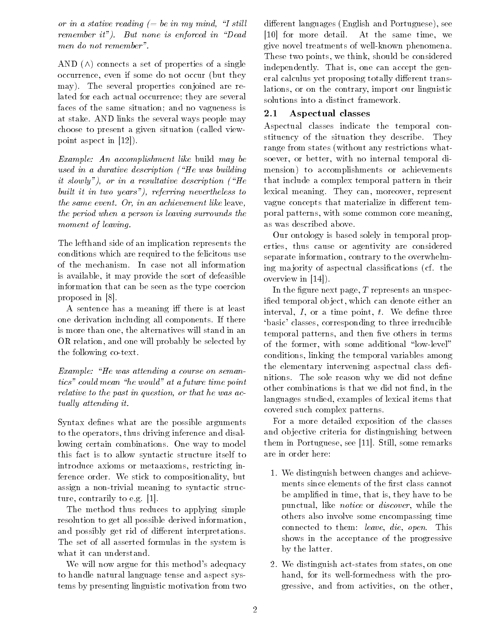or in a stative reading  $(=$  be in my mind. "I still remember it"). But none is enforced in "Dead men do not remember 

and a set of a set of a single properties of a singleoccurrence even if some domination is some domination of  $\mathbf{A}$ may). The several properties conjoined are related for each actual occurrence; they are several faces of the same situation; and no vagueness is at stake AND links the several ways people may choose to present a given situation of the present and called view of the called view of the called view of the point aspect in [12]).

Example- An accomplishment like build may be used in a durative description  $^{\prime}$  He was building it slowly"), or in a resultative description  $H^*$ built it in two years"), referring nevertheless to the same event. Or, in an achievement like leave, the period when a person is leaving surrounds the moment of leaving.

The lefthand side of an implication represents the conditions which are required to the felicitous use of the mechanism In case not all information is available, it may provide the sort of defeasible information that can be seen as the type coercion proposed in

A sentence has a meaning iff there is at least one derivation including all components If there is more than one, the alternatives will stand in an OR relation, and one will probably be selected by the following co-text.

Example- He was attending a course on seman tics" could mean "he would" at a future time point relative to the past in question, or that he was actually attending it.

Syntax defines what are the possible arguments to the operators, thus driving inference and disallowing certain combinations. One way to model this fact is to allow syntactic structure itself to introduce axioms or metaaxioms, restricting inference order. We stick to compositionality, but assign a non-trivial meaning to syntactic structure, contrarily to e.g.  $[1]$ .

The method thus reduces to applying simple resolution to get all possible derived information and possibly get rid of different interpretations. The set of all asserted formulas in the system is what it can understand.

We will now argue for this method's adequacy to handle natural language tense and aspect sys tems by presenting linguistic motivation from two

die en die en die englisheid van die englisheid van die englisheid van die englisheid van die englisheid van d [10] for more detail. At the same time, we give novel treatments of well-known phenomena. These two points, we think, should be considered independently. That is, one can accept the general calculus yet proposing totally different translations, or on the contrary, import our linguistic solutions into a distinct framework

#### $2.1$ Aspectual classes

Aspectual classes indicate the temporal con stituency of the situation they describe. They range from states -without any restrictions what soever, or better, with no internal temporal dimension) to accomplishments or achievements that include a complex temporal pattern in their lexical meaning. They can, moreover, represent vague concepts that materialize in different temporal patterns, with some common core meaning. as was described above

Our ontology is based solely in temporal prop erties, thus cause or agentivity are considered separate information, contrary to the overwhelming ma jority of aspectual classications of aspectual classications  $\mathcal{M}$ overview in  $[14]$ ).

In the figure next page,  $T$  represents an unspecified temporal object, which can denote either an interval,  $I$ , or a time point,  $t$ . We define three 'basic' classes, corresponding to three irreducible temporal patterns, and then five others in terms of the former, with some additional "low-level" conditions linking the temporal variables among the elementary intervening aspectual class de nitions. The sole reason why we did not define other combinations is that we did not find, in the languages studied, examples of lexical items that covered such complex patterns

For a more detailed exposition of the classes and ob jective criteria for distinguishing between them in Portuguese, see [11]. Still, some remarks are in order here

- We distinguish between changes and achieve ments since elements of the first class cannot be amplified in time, that is, they have to be punctual, like *notice* or *discover*, while the others also involve some encompassing time connected to them: leave, die, open. This shows in the acceptance of the progressive by the latter
- 2. We distinguish act-states from states, on one hand, for its well-formedness with the progressive, and from activities, on the other,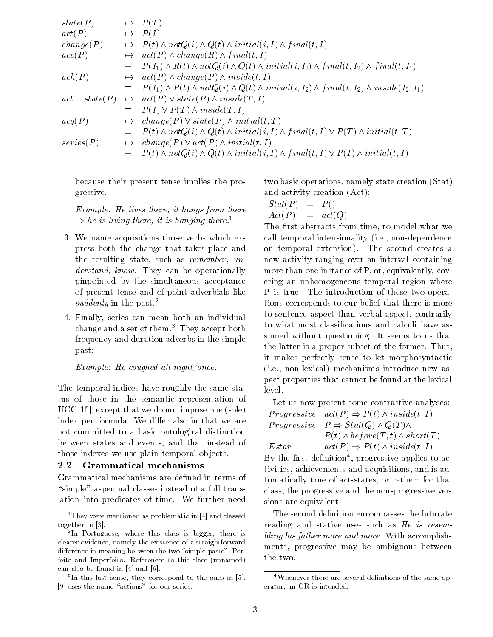| state(P)       |           | $\mapsto P(T)$                                                                                                             |
|----------------|-----------|----------------------------------------------------------------------------------------------------------------------------|
| act(P)         |           | $\mapsto$ $P(I)$                                                                                                           |
| change(P)      | $\mapsto$ | $P(t) \wedge notQ(i) \wedge Q(t) \wedge initial(i, I) \wedge final(t, I)$                                                  |
| acc(P)         | $\mapsto$ | $act(P) \wedge change(R) \wedge final(t, I)$                                                                               |
|                |           | $\equiv P(I_1) \wedge R(t) \wedge notQ(i) \wedge Q(t) \wedge initial(i, I_2) \wedge final(t, I_2) \wedge final(t, I_1)$    |
| ach(P)         | $\mapsto$ | $act(P) \wedge change(P) \wedge inside(t, I)$                                                                              |
|                |           | $\equiv P(I_1) \wedge P(t) \wedge notQ(i) \wedge Q(t) \wedge initial(i, I_2) \wedge final(t, I_2) \wedge inside(I_2, I_1)$ |
| $act-state(P)$ |           | $\mapsto$ $act(P) \vee state(P) \wedge inside(T, I)$                                                                       |
|                |           | $\equiv P(I) \vee P(T) \wedge inside(T, I)$                                                                                |
| acq(P)         | $\mapsto$ | $change(P) \vee state(P) \wedge initial(t, T)$                                                                             |
|                |           | $\equiv P(t) \wedge notQ(i) \wedge Q(t) \wedge initial(i, I) \wedge final(t, I) \vee P(T) \wedge initial(t, T)$            |
| series(P)      | $\mapsto$ | $change(P) \vee act(P) \wedge initial(t, I)$                                                                               |
|                |           | $P(t) \wedge notQ(i) \wedge Q(t) \wedge initial(i, I) \wedge final(t, I) \vee P(I) \wedge initial(t, I)$                   |

because their present tense implies the pro gressive

Example-there is hangle-definition that the interaction of the lives there is no set of the interaction of the interaction of the interaction of the interaction of the interaction of the interaction of the interaction of  $\Rightarrow$  he is living there, it is hanging there.<sup>1</sup>

- We name acquisitions those verbs which ex press both the change that takes place and the resulting state, such as remember, understand, know. They can be operationally pinpointed by the simultaneous acceptance of present tense and of point adverbials like suddenly in the past.<sup>2</sup>
- 4. Finally, series can mean both an individual change and a set of them.<sup>3</sup> They accept both frequency and duration adverbs in the simple past

— Henry Coughes and Henry Coughest (1995) and the couple of the couple of the couple of the couple of the couple of the couple of the couple of the couple of the couple of the couple of the couple of the couple of the coup

The temporal indices have roughly the same sta tus of those in the semantic representation of uch that we do not impose one one of the sole in the sole of the sole of the sole of the sole of the sole of the index per formula. We differ also in that we are not committed to a basic ontological distinction between states and events, and that instead of those indexes we use plain temporal objects.

#### $2.2\,$ Grammatical mechanisms

Grammatical mechanisms are defined in terms of "simple" aspectual classes instead of a full translation into predicates of time. We further need two basic operations namely state creations namely state creations in the creation of the creation of the creation of and activity creation of the creation of the creation of the creation of the creation of the creation of the c

$$
\begin{array}{lcl} Stat(P) &=& P()\\ Act(P) &=& act(Q) \end{array}
$$

The first abstracts from time, to model what we call temporal intensionality -ie nondependence on temporal extension). The second creates a new activity ranging over an interval containing more than one instance of  $P$ , or, equivalently, covering an unhomogeneous temporal region where P is true. The introduction of these two operations corresponds to our belief that there is more to sentence aspect than verbal aspect, contrarily to what most classifications and calculi have assumed without questioning. It seems to us that the latter is a proper subset of the former. Thus, it makes perfectly sense to let morphosyntactic -ie nonlexical mechanisms introduce new as pect properties that cannot be found at the lexical level

Let us now present some contrastive analyses: P rogressive act-P P -t - inside-t- I P rogressive P  $\sim$  700 that H  $\sim$  100 that  $\sim$  100 that  $\sim$ P -t - bef ore-T- t - short-T  $Estar$ Estar act-P P -t - inside-t- I

by the first definition , progressive applies to activities, achievements and acquisitions, and is automatically true of act-states, or rather: for that class, the progressive and the non-progressive versions are equivalent

The second definition encompasses the futurate reading and stative uses such as He is resembling his father more and more. With accomplishments, progressive may be ambiguous between the two

They were mentioned as problematic in 141 and classed together in 1911

<sup>-</sup> In Portuguese where this class is bigger there isclearer evidence namely the existence of a straightforwarddierence in meaning between the two simple pasts Perfeito and Imperfeito. References to this class (unnamed) can also be found in 141 and 191.

 $\,$  In this last sense, they correspond to the ones in  $\,$  DL  $\,$ - uses the name actions for our series

 $4$ Whenever there are several definitions of the same operator, an OR is intended.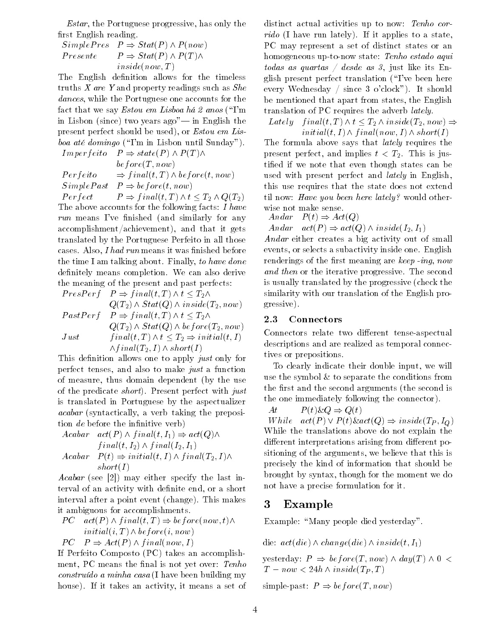*Estar*, the Portuguese progressive, has only the first English reading.

$$
SimplePres \quad P \Rightarrow Stat(P) \land P(now)
$$
  
\n
$$
Presente \qquad P \Rightarrow Stat(P) \land P(T) \land
$$
  
\n
$$
inside(now, T)
$$

The English definition allows for the timeless truths  $X$  are  $Y$  and property readings such as  $She$ dances, while the Portuguese one accounts for the factor that we say Estonia has been defined as  $\mathbb{H}$  . The same definition of  $\mathbb{H}$ in Lisbon and the since the since the complete the since  $\mathcal{L}$ present perfect should be used), or *Estou em Lis*boa at domingo -Im in Lisbon until Sunday

Imperf eito P state-P - P -T -. . . . . . . . . . . . *.* P erf eito f inal-t- T - bef ore-t- now s in place as the property of the property of the set of the set of the set of the set of the set of the set of

P erf erf en de formelen en de formelen en de formelen en de formelen en de formelen en de formelen en de form The above accounts for the following facts:  $I$  have run means I ve means I ve and similarly for any achievement achievement and that it gets and the internal state of the complex state of the complex state of th translated by the Portuguese Perfeito in all those cases. Also, *I had run* means it was finished before the time I am talking about. Finally, to have done definitely means completion. We can also derive the meaning of the present and past perfects

P respectively the property of the set of the set of the set of the set of the set of the set of the set of th Text = 2 *j i ; n* = ... ( Text / i ; ; ; ... ... ... ... ... ... / P as the erf p in a final property that  $\mathbb{Z} = \mathbb{Z}^{n}$  in Q-T- - S tat-Q - bef ore-T-- now Just f inal-t- T - t T- initial-t- I

-f inal-T-- I - short-I

This definition allows one to apply just only for perfect tenses, and also to make just a function of measure the use the use the use the use the use the use the use the use the use the use the use the use the u of the predicate *short*). Present perfect with just is translated in Portuguese by the aspectualizer acabar - syntactically taking the preposition of the present of the present of the present of the present of t tion  $de$  before the infinitive verb)

$$
Acabar \quad act(P) \land final(t, I_1) \Rightarrow act(Q) \landfinal(t, I_2) \land final(I_2, I_1)
$$

$$
Acabar \quad P(t) \Rightarrow initial(t, I) \land final(T_2, I) \landshort(I)
$$

acabar - see particle in the last interval in the last interval in the last interval interval in the last interval in the last interval interval in the last interval interval interval in the last interval interval interva terval of an activity with definite end, or a short interval after a point  $\mathcal{N}$  and  $\mathcal{N}$  after a point event -  $\mathcal{N}$  and  $\mathcal{N}$  and  $\mathcal{N}$  are the set of  $\mathcal{N}$ it ambiguous for accomplishments

$$
PC \quad act(P) \land final(t, T) \Rightarrow before(now, t) \landinitial(i, T) \land before(i, now)
$$

$$
PC \quad P \Rightarrow Act(P) \land final(now, I)
$$

short-I

If Perfeito Composto -PC takes an accomplish ment, PC means the final is not yet over: Tenho construction and construction and construction of the case of the case of the construction of the construction house). If it takes an activity, it means a set of

distinct actual activities up to now: Tenho corrido -I have run lately If it applies to a state PC may represent a set of distinct states or an homogeneous up-to-now state: Tenho estado aqui todas as quartas / desde as 3, just like its  $En$ glished perfection perfect translation is the contract contract of the perfect of the second contract of the s every wednesday , should be a should provide the should be mentioned that apart from states, the English translation of PC requires the adverb *lately*.

Lately f inal-t- T - t T- - inside-T-- now initial-t- I - f inal-now- I - short-I

The formula above says that *lately* requires the present perfect and implies the six is  $\mathcal{P}=\mathcal{P}$  is the six in the six in tified if we note that even though states can be used with present perfect and *lately* in English. this use requires that the state does not extend til now: Have you been here lately? would otherwise not make sense

$$
Andar \quad P(t) \Rightarrow Act(Q)
$$

Andrews and  $\{ - \}$  in activities activities and  $\{ -1 \}$  in

Andar either creates a big activity out of small events, or selects a subactivity inside one. English renderings of the means meaning are keep and in a m and then or the iterative progressive. The second is usually translated by the progressive of the progressive of the progressive of the progressive of the progressive of the progressive of the progressive of the progressive of the progressive of the progressive of the pro similarity with our translation of the English pro gressive

#### $2.3$ Connectors

Connectors relate two different tense-aspectual descriptions and are realized as temporal connec tives or prepositions

To clearly indicate their double input, we will use the symbol  $\&$  to separate the conditions from  $t$  and  $t$  and second arguments  $\alpha$  are second is a second is a second is a second is a second is a second is a second is a second is a second is a second is a second is a second is a second is a second is a second is a the one immediately following the connector

$$
At \t P(t)\&Q \Rightarrow Q(t)
$$

 $\mathcal{P}$  . The state activity is the state  $\mathcal{P}$  in  $\mathcal{P}$  in  $\mathcal{P}$  is the state of  $\mathcal{P}$ While the translations above do not explain the different interpretations arising from different positioning of the arguments, we believe that this is precisely the kind of information that should be brought by syntax though for the moment we do not have a precise formulation for it

#### 3 Example

Example: "Many people died yesterday".

die - change- t-ange- t-ange- t-ange- t-ange- t-ange- t-ange- t-ange- t-ange- t-ange- t-ange- t-ange- t-angeyesterday P bef ore-T - now - day-T -

— inside-Alexandrian installer ( — <u>inside-</u> insidesimple past of the past of the state of the state of the state of the state of the state of the state of the s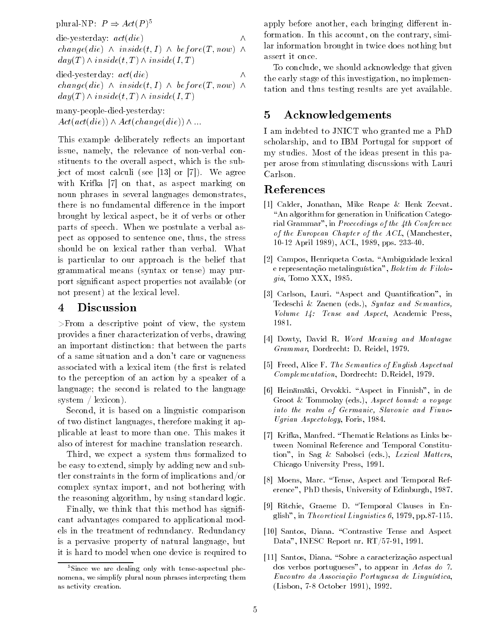plural- $\Gamma \Gamma : P \Rightarrow Act(P)$ 

die verwys die verwys die verwys die verwys die verwys die verwys die verwys die verwys die verwys die verwys change-die - inside-t- I - bef ore-T - now day-T - inside-t- T - inside-I-T

died-yesterday:  $act(die)$ die change-die - inside-t- I - bef ore-T - now day-T - inside-t- T - inside-I-T

many-people-died-yesterday: Act-act-die - Act-change-die -

This example deliberately reflects an important issue, namely, the relevance of non-verbal constituents to the overall aspect, which is the subject of most calculated and most calculated and most calculated and most calculated and most calculated and mos with Krifka  $[7]$  on that, as aspect marking on noun phrases in several languages demonstrates there is no fundamental difference in the import brought by lexical aspect, be it of verbs or other parts of speech When we postulate a verbal as pect as opposed to sentence one, thus, the stress should be on lexical rather than verbal. What is particular to our approach is the belief that grammatical means -syntax or tense may pur port significant aspect properties not available - and available - available - available - available - available not present) at the lexical level.

#### 4 Discussion

 $>$ From a descriptive point of view, the system provides a finer characterization of verbs, drawing an important distinction: that between the parts of a same situation and a don't care or vagueness associated with a lexical item - the  $\mathcal{A}$ to the perception of an action by a speaker of a language; the second is related to the language system is a contract of the contract of the contract of the contract of the contract of the contract of the contract of the contract of the contract of the contract of the contract of the contract of the contract of the co

Second, it is based on a linguistic comparison of two distinct languages, therefore making it applicable at least to more than one This makes it also of interest for machine translation research

Third, we expect a system thus formalized to be easy to extend, simply by adding new and subtler constraints in the form of implications and or complex syntax import, and not bothering with the reasoning algorithm, by using standard logic.

Finally, we think that this method has significant advantages compared to applicational mod els in the treatment of redundancy Redundancy is a pervasive property of natural language, but it is hard to model when one device is required to apply before another, each bringing different information. In this account, on the contrary, similar information brought in twice does nothing but

 the early stage of this investigation no implemen tation and thus testing results are yet available To conclude, we should acknowledge that given

# Acknowledgements

I am indebted to JNICT who granted me a PhD scholarship, and to IBM Portugal for support of my studies. Most of the ideas present in this paper arose from stimulating discussions with Lauri Carlson.

## References

- Calder Jonathan Mike Reape Henk Zeevat "An algorithm for generation in Unification Categorial Grammar
in Proceedings of the -th Conference of the European Chapter of the ACL -Manchester 10-12 April 1989), ACL, 1989, pps. 233-40.
- Campos Henriqueta Costa Ambiguidade lexical e representação metalinguística", Boletim de Filolo $gia$ , Tomo XXX, 1985.
- represented to the careful and  $\alpha$  and  $\alpha$  and  $\alpha$ Tedeschi Zaenen -eds Syntax and Semantics volume - Tense and Aspect Academic Press, 1990 1981.
- Dowty David R Word Meaning and Montague Grammar, Dordrecht: D. Reidel, 1979.
- Freed Alice F The Semantics of English Aspectual Complementation, Dordrecht: D.Reidel, 1979.
- Heinmki Orvokki Aspect in Finnish
in de eds Aspect bound a voice bound a voice bound a voice and a voice and a voice and a voice of the contract of th into the realm of Germanic, Slavonic and Finno-Ugrian Aspectology, Foris, 1984.
- [7] Krifka, Manfred. "Thematic Relations as Links be-. . . Krifka Manfred Thematic Relations as Links be tween Nominal Reference and Temporal Constitu tion is the sage of the same is the process of the most of Chicago University Press
- was an and the most control of the Temporal Reference and Temporal References and Temporal References and Temporal References and Temporal References and Temporal References and Temporal References and Temporal References erence", PhD thesis, University of Edinburgh, 1987.
- re avec money concerned and accompanies in extensive in the concernent of the end of the concernent of the concern glish", in Theoretical Linguistics  $6, 1979, pp.87-115$ .
- Santos Diana Contrastive Tense and Aspect Data", INESC Report nr. RT/57-91, 1991.
- Santos Diana Sobre a caracterizao aspectual dos verbos portugueses", to appear in  $Actas do$  7. Encontro da Associa o Portuguesa de Lingustica  $\mathbf{L}$

<sup>&</sup>lt;sup>5</sup>Since we are dealing only with tense-aspectual phenomena, we simplify plural noun phrases interpreting them as activity creation